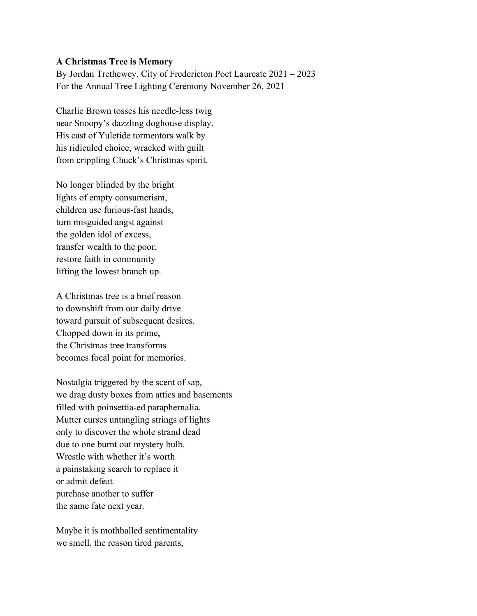## **A Christmas Tree is Memory**

By Jordan Trethewey, City of Fredericton Poet Laureate 2021 – 2023 For the Annual Tree Lighting Ceremony November 26, 2021

Charlie Brown tosses his needle-less twig near Snoopy's dazzling doghouse display. His cast of Yuletide tormentors walk by his ridiculed choice, wracked with guilt from crippling Chuck's Christmas spirit.

No longer blinded by the bright lights of empty consumerism, children use furious-fast hands, turn misguided angst against the golden idol of excess, transfer wealth to the poor, restore faith in community lifting the lowest branch up.

A Christmas tree is a brief reason to downshift from our daily drive toward pursuit of subsequent desires. Chopped down in its prime, the Christmas tree transforms becomes focal point for memories.

Nostalgia triggered by the scent of sap, we drag dusty boxes from attics and basements filled with poinsettia-ed paraphernalia. Mutter curses untangling strings of lights only to discover the whole strand dead due to one burnt out mystery bulb. Wrestle with whether it's worth a painstaking search to replace it or admit defeat purchase another to suffer the same fate next year.

Maybe it is mothballed sentimentality we smell, the reason tired parents,